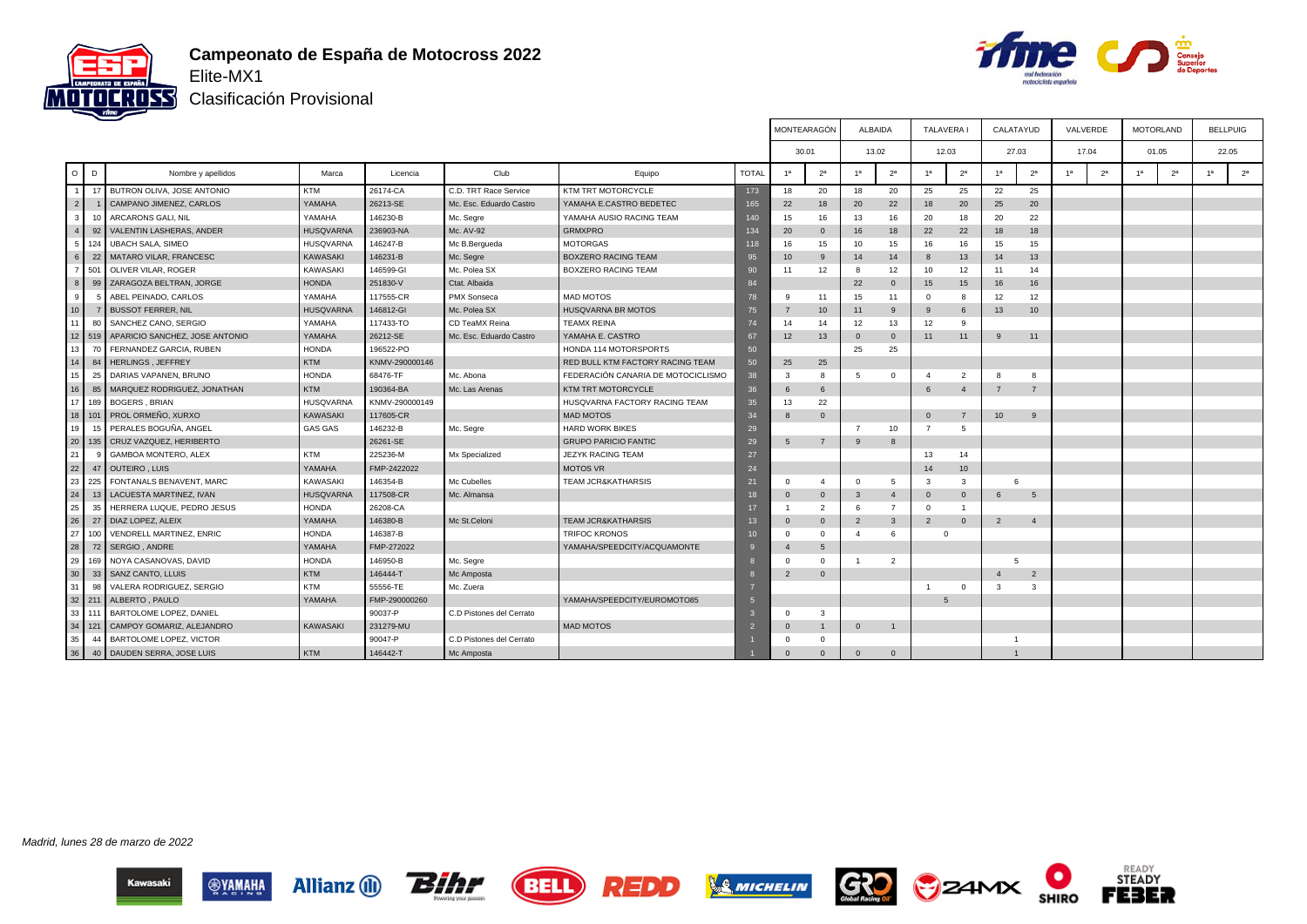

**Campeonato de España de Motocross 2022** Elite-MX1



┰

┰

Т

Clasificación Provisional

|                 |              |                                 |                  |                |                          |                                    |              | MONTEARAGON     |                 | ALBAIDA        |                | TALAVERA I     |                 | CALATAYUD      |                |       | VALVERDE       | <b>MOTORLAND</b> | <b>BELLPUIG</b> |
|-----------------|--------------|---------------------------------|------------------|----------------|--------------------------|------------------------------------|--------------|-----------------|-----------------|----------------|----------------|----------------|-----------------|----------------|----------------|-------|----------------|------------------|-----------------|
|                 |              |                                 |                  |                |                          |                                    |              | 30.01           |                 |                | 13.02          | 12.03          |                 |                | 27.03          | 17.04 |                | 01.05            | 22.05           |
| $\circ$         | $\mathsf{D}$ | Nombre y apellidos              | Marca            | Licencia       | Club                     | Equipo                             | <b>TOTAL</b> | 1 <sup>a</sup>  | 2 <sup>a</sup>  | 1 <sub>a</sub> | 2 <sup>a</sup> | 1 <sup>a</sup> | 2 <sup>a</sup>  | 1 <sup>a</sup> | 2 <sup>a</sup> |       | 2 <sup>a</sup> | 2 <sup>a</sup>   | 2 <sup>a</sup>  |
|                 | 17           | BUTRON OLIVA, JOSE ANTONIO      | <b>KTM</b>       | 26174-CA       | C.D. TRT Race Service    | KTM TRT MOTORCYCLE                 | 173          | 18              | 20              | 18             | 20             | 25             | 25              | 22             | 25             |       |                |                  |                 |
| 2 <sup>1</sup>  |              | CAMPANO JIMENEZ, CARLOS         | YAMAHA           | 26213-SE       | Mc. Esc. Eduardo Castro  | YAMAHA E.CASTRO BEDETEC            | 165          | 22              | 18              | 20             | 22             | 18             | 20              | 25             | 20             |       |                |                  |                 |
| 3 <sup>1</sup>  | 10           | ARCARONS GALI, NIL              | YAMAHA           | 146230-B       | Mc. Segre                | YAMAHA AUSIO RACING TEAM           | 140          | 15              | 16              | 13             | 16             | 20             | 18              | 20             | 22             |       |                |                  |                 |
| $\overline{4}$  | 92           | <b>VALENTIN LASHERAS, ANDER</b> | <b>HUSQVARNA</b> | 236903-NA      | Mc. AV-92                | <b>GRMXPRO</b>                     | 134          | 20              | $\mathbf{0}$    | 16             | 18             | 22             | 22              | 18             | 18             |       |                |                  |                 |
| 5 <sub>1</sub>  | 124          | <b>UBACH SALA, SIMEO</b>        | <b>HUSQVARNA</b> | 146247-B       | Mc B.Bergueda            | <b>MOTORGAS</b>                    | 118          | 16              | 15              | 10             | 15             | 16             | 16              | 15             | 15             |       |                |                  |                 |
| 6               | 22           | <b>MATARO VILAR, FRANCESC</b>   | KAWASAKI         | 146231-B       | Mc. Segre                | <b>BOXZERO RACING TEAM</b>         | 95           | 10              | 9               | 14             | 14             | 8              | 13              | 14             | 13             |       |                |                  |                 |
|                 | 501          | OLIVER VILAR, ROGER             | <b>KAWASAKI</b>  | 146599-GI      | Mc. Polea SX             | BOXZERO RACING TEAM                | 90           | 11              | 12              | 8              | 12             | 10             | 12              | 11             | 14             |       |                |                  |                 |
| 8               | 99           | ZARAGOZA BELTRAN, JORGE         | <b>HONDA</b>     | 251830-V       | Ctat. Albaida            |                                    | 84           |                 |                 | 22             | $\overline{0}$ | 15             | 15              | 16             | 16             |       |                |                  |                 |
| 9 <sup>1</sup>  | -5           | ABEL PEINADO, CARLOS            | YAMAHA           | 117555-CR      | <b>PMX Sonseca</b>       | <b>MAD MOTOS</b>                   | 78           | $\mathbf{q}$    | 11              | 15             | 11             | $\mathbf 0$    | $\mathbf{R}$    | 12             | 12             |       |                |                  |                 |
| 10 <sup>1</sup> |              | <b>BUSSOT FERRER, NIL</b>       | <b>HUSQVARNA</b> | 146812-GI      | Mc. Polea SX             | HUSQVARNA BR MOTOS                 | 75           | $\overline{7}$  | 10              | 11             | 9              | 9              | 6               | 13             | 10             |       |                |                  |                 |
| 11 <sup>1</sup> | 80           | SANCHEZ CANO, SERGIO            | YAMAHA           | 117433-TO      | CD TeaMX Reina           | <b>TEAMX REINA</b>                 | 74           | 14              | 14              | 12             | 13             | 12             | $\mathbf{q}$    |                |                |       |                |                  |                 |
|                 | $12$ 519     | APARICIO SANCHEZ, JOSE ANTONIO  | YAMAHA           | 26212-SE       | Mc. Esc. Eduardo Castro  | YAMAHA E. CASTRO                   | 67           | 12              | 13              | $\Omega$       | $\Omega$       | 11             | 11              | 9              | 11             |       |                |                  |                 |
| 13 <sup>1</sup> | 70           | FERNANDEZ GARCIA, RUBEN         | <b>HONDA</b>     | 196522-PO      |                          | HONDA 114 MOTORSPORTS              | 50           |                 |                 | 25             | 25             |                |                 |                |                |       |                |                  |                 |
| 14              | 84           | HERLINGS, JEFFREY               | <b>KTM</b>       | KNMV-290000146 |                          | RED BULL KTM FACTORY RACING TEAM   | 50           | 25              | 25              |                |                |                |                 |                |                |       |                |                  |                 |
| 15 <sup>1</sup> | 25           | DARIAS VAPANEN, BRUNO           | <b>HONDA</b>     | 68476-TF       | Mc. Abona                | FEDERACIÓN CANARIA DE MOTOCICLISMO | 38           | $\mathbf{3}$    | 8               | $5^{\circ}$    | $\overline{0}$ | 4              | 2               | $\mathbf{g}$   | 8              |       |                |                  |                 |
| 16 <sup>1</sup> | 85           | MARQUEZ RODRIGUEZ, JONATHAN     | <b>KTM</b>       | 190364-BA      | Mc. Las Arenas           | KTM TRT MOTORCYCLE                 | 36           | $6\overline{6}$ | $6\phantom{.}6$ |                |                | 6              | $\overline{4}$  | $\overline{7}$ | $\overline{7}$ |       |                |                  |                 |
| 17 <sup>1</sup> | 189          | <b>BOGERS, BRIAN</b>            | HUSQVARNA        | KNMV-290000149 |                          | HUSQVARNA FACTORY RACING TEAM      | 35           | 13              | 22              |                |                |                |                 |                |                |       |                |                  |                 |
|                 | 18 101       | PROL ORMEÑO, XURXO              | <b>KAWASAKI</b>  | 117605-CR      |                          | <b>MAD MOTOS</b>                   | 34           | 8               | $\mathbf{0}$    |                |                | $\mathbf{0}$   | $\overline{7}$  | 10             | 9              |       |                |                  |                 |
| 19 <sup>1</sup> | 15           | PERALES BOGUÑA, ANGEL           | <b>GAS GAS</b>   | 146232-B       | Mc. Segre                | <b>HARD WORK BIKES</b>             | 29           |                 |                 | $\overline{7}$ | 10             | $\overline{7}$ | 5               |                |                |       |                |                  |                 |
| 20 <sub>1</sub> | 135          | CRUZ VAZQUEZ, HERIBERTO         |                  | 26261-SE       |                          | <b>GRUPO PARICIO FANTIC</b>        | 29           | 5               | $\overline{7}$  | 9              | 8              |                |                 |                |                |       |                |                  |                 |
| 21              | - 9          | GAMBOA MONTERO, ALEX            | <b>KTM</b>       | 225236-M       | Mx Specialized           | <b>JEZYK RACING TEAM</b>           | 27           |                 |                 |                |                | 13             | 14              |                |                |       |                |                  |                 |
| 22              | 47           | OUTEIRO, LUIS                   | YAMAHA           | FMP-2422022    |                          | <b>MOTOS VR</b>                    | 24           |                 |                 |                |                | 14             | 10 <sup>1</sup> |                |                |       |                |                  |                 |
| 23              | 225          | FONTANALS BENAVENT, MARC        | KAWASAKI         | 146354-B       | Mc Cubelles              | <b>TEAM JCR&amp;KATHARSIS</b>      | 21           | $\Omega$        | $\overline{4}$  | $\Omega$       | 5              | 3              | 3               | 6              |                |       |                |                  |                 |
| 24              | 13           | LACUESTA MARTINEZ, IVAN         | <b>HUSQVARNA</b> | 117508-CR      | Mc. Almansa              |                                    | 18           | $\Omega$        | $\mathbf{0}$    | 3              | $\mathbf{A}$   | $\Omega$       | $\mathbf{0}$    | 6              | 5              |       |                |                  |                 |
| 25              | 35           | HERRERA LUQUE, PEDRO JESUS      | <b>HONDA</b>     | 26208-CA       |                          |                                    | 17           |                 | $\overline{2}$  | 6              | $\overline{7}$ | $\mathbf 0$    |                 |                |                |       |                |                  |                 |
| 26              | 27           | DIAZ LOPEZ, ALEIX               | YAMAHA           | 146380-B       | Mc St.Celoni             | <b>TEAM JCR&amp;KATHARSIS</b>      | 13           | $\Omega$        | $\Omega$        | $\overline{2}$ | $\mathbf{3}$   | $\overline{2}$ | $\mathbf{0}$    | 2              | $\overline{4}$ |       |                |                  |                 |
| 27              | 100          | VENDRELL MARTINEZ, ENRIC        | <b>HONDA</b>     | 146387-B       |                          | <b>TRIFOC KRONOS</b>               | 10           | $\Omega$        | $\Omega$        | $\overline{4}$ | 6              | $\Omega$       |                 |                |                |       |                |                  |                 |
| 28              | 72           | SERGIO, ANDRE                   | YAMAHA           | FMP-272022     |                          | YAMAHA/SPEEDCITY/ACQUAMONTE        |              | $\overline{4}$  | 5               |                |                |                |                 |                |                |       |                |                  |                 |
| 29              | 169          | NOYA CASANOVAS, DAVID           | <b>HONDA</b>     | 146950-B       | Mc. Segre                |                                    |              | $\Omega$        | $\Omega$        |                | $\overline{2}$ |                |                 | 5              |                |       |                |                  |                 |
| 30              | 33           | SANZ CANTO, LLUIS               | <b>KTM</b>       | 146444-T       | Mc Amposta               |                                    |              | $\overline{2}$  | $\mathbf{0}$    |                |                |                |                 | $\overline{a}$ | $\overline{2}$ |       |                |                  |                 |
| 31              | 98           | VALERA RODRIGUEZ, SERGIO        | <b>KTM</b>       | 55556-TE       | Mc. Zuera                |                                    |              |                 |                 |                |                |                | $\Omega$        | 3              | 3              |       |                |                  |                 |
|                 | $32$ 211     | ALBERTO, PAULO                  | YAMAHA           | FMP-290000260  |                          | YAMAHA/SPEEDCITY/EUROMOTO85        | $\sqrt{5}$   |                 |                 |                |                | $\overline{5}$ |                 |                |                |       |                |                  |                 |
|                 | 33 111       | BARTOLOME LOPEZ, DANIEL         |                  | 90037-P        | C.D Pistones del Cerrato |                                    |              |                 | $\mathbf{3}$    |                |                |                |                 |                |                |       |                |                  |                 |
| 34              | 121          | CAMPOY GOMARIZ, ALEJANDRO       | <b>KAWASAKI</b>  | 231279-MU      |                          | <b>MAD MOTOS</b>                   |              | $\Omega$        | $\overline{1}$  | $\mathbf{0}$   | $\overline{1}$ |                |                 |                |                |       |                |                  |                 |
| 35              | 44           | BARTOLOME LOPEZ, VICTOR         |                  | 90047-P        | C.D Pistones del Cerrato |                                    |              | $\Omega$        | $\Omega$        |                |                |                |                 | $\overline{1}$ |                |       |                |                  |                 |
| 36              |              | 40   DAUDEN SERRA, JOSE LUIS    | <b>KTM</b>       | 146442-T       | Mc Amposta               |                                    |              | $\Omega$        | $\Omega$        | $\mathbf 0$    | $\overline{0}$ |                |                 |                |                |       |                |                  |                 |

 $\Gamma$ 

 $\overline{a}$ 

Т

┰

Madrid, lunes 28 de marzo de 2022













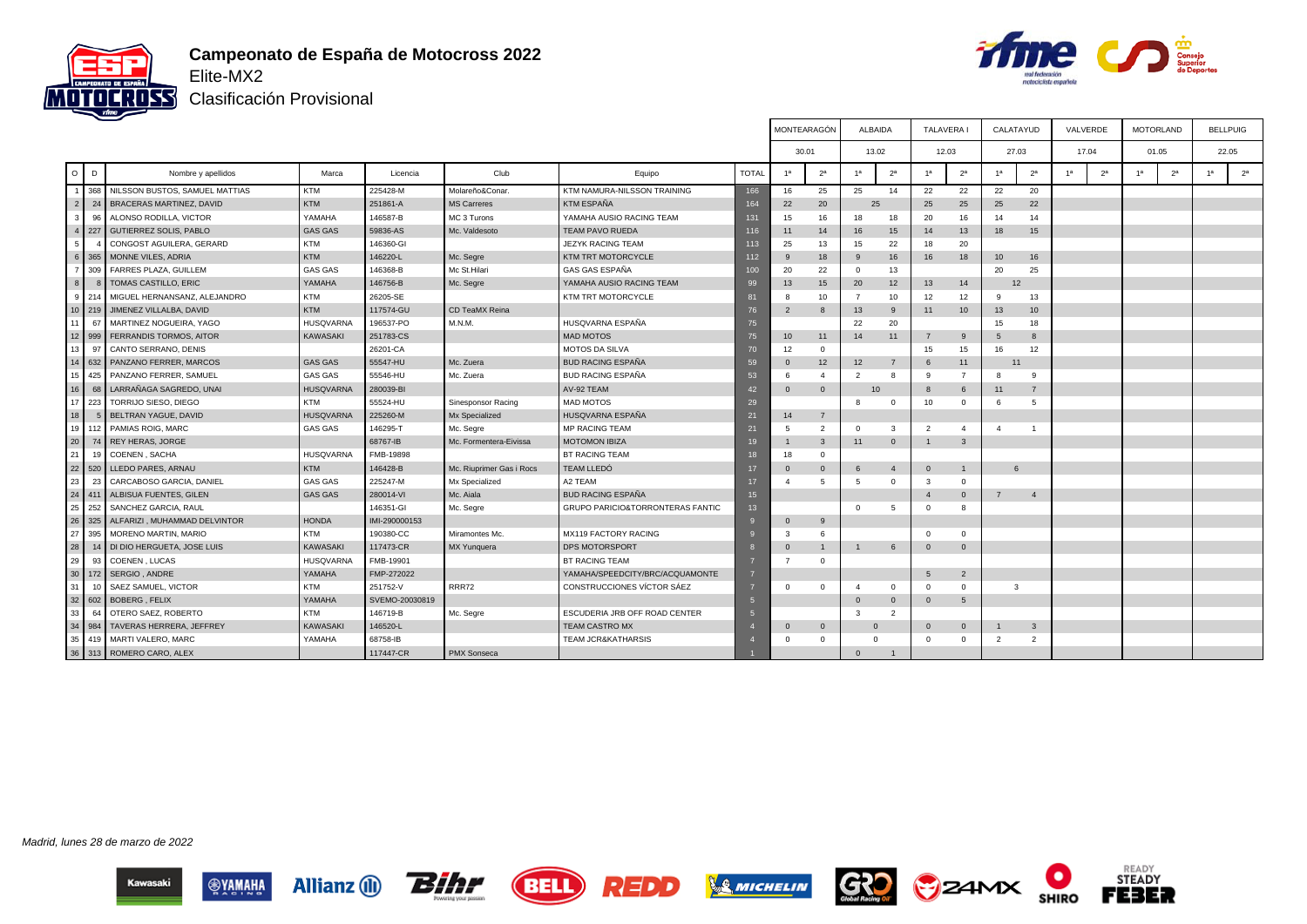



Clasificación Provisional

|                 |                |                                 |                  |                |                           |                                  |              | MONTEARAGÓN    |                | <b>ALBAIDA</b> |                | TALAVERA I     |                | CALATAYUD      |                |                | VALVERDE       |                | <b>MOTORLAND</b> |    | <b>BELLPUIG</b> |
|-----------------|----------------|---------------------------------|------------------|----------------|---------------------------|----------------------------------|--------------|----------------|----------------|----------------|----------------|----------------|----------------|----------------|----------------|----------------|----------------|----------------|------------------|----|-----------------|
|                 |                |                                 |                  |                |                           |                                  |              | 30.01          |                | 13.02          |                |                | 12.03          | 27.03          |                |                | 17.04          |                | 01.05            |    | 22.05           |
|                 | $O$ $D$        | Nombre y apellidos              | Marca            | Licencia       | Club                      | Equipo                           | <b>TOTAL</b> | 1 <sup>a</sup> | 2 <sup>a</sup> | 1a             | 2 <sup>a</sup> | 1 <sup>a</sup> | 2 <sup>a</sup> | 1 <sup>a</sup> | 2 <sup>a</sup> | 1 <sup>a</sup> | 2 <sup>a</sup> | 1 <sup>a</sup> | 2 <sup>a</sup>   | 1a | 2 <sup>a</sup>  |
|                 | 1 368          | NILSSON BUSTOS, SAMUEL MATTIAS  | <b>KTM</b>       | 225428-M       | Molareño&Conar.           | KTM NAMURA-NILSSON TRAINING      | 166          | 16             | 25             | 25             | 14             | 22             | 22             | 22             | 20             |                |                |                |                  |    |                 |
| 2 <sup>1</sup>  | 24             | <b>BRACERAS MARTINEZ, DAVID</b> | KTM              | 251861-A       | <b>MS Carreres</b>        | <b>KTM ESPAÑA</b>                | 164          | 22             | 20             | 25             |                | 25             | 25             | 25             | 22             |                |                |                |                  |    |                 |
| 3 <sup>1</sup>  | 96             | ALONSO RODILLA, VICTOR          | YAMAHA           | 146587-B       | MC 3 Turons               | YAMAHA AUSIO RACING TEAM         | 131          | 15             | 16             | 18             | 18             | 20             | 16             | 14             | 14             |                |                |                |                  |    |                 |
|                 | 227            | <b>GUTIERREZ SOLIS, PABLO</b>   | <b>GAS GAS</b>   | 59836-AS       | Mc. Valdesoto             | <b>TEAM PAVO RUEDA</b>           | 116          | 11             | 14             | 16             | 15             | 14             | 13             | 18             | 15             |                |                |                |                  |    |                 |
| 5 <sub>1</sub>  |                | CONGOST AGUILERA, GERARD        | <b>KTM</b>       | 146360-GI      |                           | JEZYK RACING TEAM                | 113          | 25             | 13             | 15             | 22             | 18             | 20             |                |                |                |                |                |                  |    |                 |
|                 | 6 365          | MONNE VILES, ADRIA              | <b>KTM</b>       | 146220-L       | Mc. Segre                 | KTM TRT MOTORCYCLE               | 112          | 9              | 18             | 9              | 16             | 16             | 18             | 10             | 16             |                |                |                |                  |    |                 |
|                 | 7 309          | <b>FARRES PLAZA, GUILLEM</b>    | <b>GAS GAS</b>   | 146368-B       | Mc St.Hilari              | GAS GAS ESPAÑA                   | 100          | 20             | 22             | $\Omega$       | 13             |                |                | 20             | 25             |                |                |                |                  |    |                 |
| 8 <sup>1</sup>  |                | TOMAS CASTILLO, ERIC            | YAMAHA           | 146756-B       | Mc. Segre                 | YAMAHA AUSIO RACING TEAM         | 99           | 13             | 15             | 20             | 12             | 13             | 14             |                | 12             |                |                |                |                  |    |                 |
|                 | $9 \ 214$      | MIGUEL HERNANSANZ, ALEJANDRO    | <b>KTM</b>       | 26205-SE       |                           | KTM TRT MOTORCYCLE               | 81           | 8              | 10             | $\overline{7}$ | 10             | 12             | 12             | -9             | 13             |                |                |                |                  |    |                 |
|                 | $10$   219     | JIMENEZ VILLALBA, DAVID         | KTM              | 117574-GU      | CD TeaMX Reina            |                                  | 76           | $\overline{2}$ | 8              | 13             | $\mathbf{q}$   | 11             | 10             | 13             | 10             |                |                |                |                  |    |                 |
| 11 <sup>1</sup> | 67             | MARTINEZ NOGUEIRA, YAGO         | <b>HUSQVARNA</b> | 196537-PO      | M.N.M.                    | HUSQVARNA ESPAÑA                 | 75           |                |                | 22             | 20             |                |                | 15             | 18             |                |                |                |                  |    |                 |
|                 | 12 999         | <b>FERRANDIS TORMOS, AITOR</b>  | KAWASAKI         | 251783-CS      |                           | <b>MAD MOTOS</b>                 | 75           | 10             | 11             | 14             | 11             | $\overline{7}$ | 9              | 5              | 8              |                |                |                |                  |    |                 |
| 13 <sup>1</sup> | 97             | CANTO SERRANO, DENIS            |                  | 26201-CA       |                           | <b>MOTOS DA SILVA</b>            | 70           | 12             | $^{\circ}$     |                |                | 15             | 15             | 16             | 12             |                |                |                |                  |    |                 |
| 14 <sup>1</sup> | 632            | PANZANO FERRER, MARCOS          | <b>GAS GAS</b>   | 55547-HU       | Mc. Zuera                 | <b>BUD RACING ESPAÑA</b>         | 59           | $\mathbf 0$    | 12             | 12             | $\overline{7}$ | 6              | 11             |                | 11             |                |                |                |                  |    |                 |
| 15 <sup>1</sup> | 425            | PANZANO FERRER, SAMUEL          | GAS GAS          | 55546-HU       | Mc. Zuera                 | <b>BUD RACING ESPAÑA</b>         | 53           | 6              | $\overline{4}$ | $\overline{2}$ | 8              | 9              | $\overline{7}$ | 8              | $\mathbf{Q}$   |                |                |                |                  |    |                 |
| 16 <sup>1</sup> | 68             | LARRAÑAGA SAGREDO, UNAI         | <b>HUSQVARNA</b> | 280039-BI      |                           | AV-92 TEAM                       | 42           | $\Omega$       | $\Omega$       | 10             |                | 8              | 6              | 11             | $\overline{7}$ |                |                |                |                  |    |                 |
| 17 <sup>1</sup> | 223            | TORRIJO SIESO, DIEGO            | <b>KTM</b>       | 55524-HU       | <b>Sinesponsor Racing</b> | <b>MAD MOTOS</b>                 | 29           |                |                | $\mathbf{R}$   | $^{\circ}$     | 10             | $^{\circ}$     | 6              | 5              |                |                |                |                  |    |                 |
| 18              | 5 <sup>1</sup> | BELTRAN YAGUE, DAVID            | <b>HUSQVARNA</b> | 225260-M       | Mx Specialized            | HUSQVARNA ESPAÑA                 | 21           | 14             | $\overline{7}$ |                |                |                |                |                |                |                |                |                |                  |    |                 |
| 19 <sup>1</sup> | 112            | PAMIAS ROIG, MARC               | <b>GAS GAS</b>   | 146295-T       | Mc. Segre                 | <b>MP RACING TEAM</b>            | 21           | 5              | $\overline{2}$ | $\Omega$       | 3              | $\overline{2}$ | $\overline{4}$ | $\overline{4}$ | $\overline{1}$ |                |                |                |                  |    |                 |
| $\vert$ 20      | 74             | <b>REY HERAS, JORGE</b>         |                  | 68767-IB       | Mc. Formentera-Eivissa    | <b>MOTOMON IBIZA</b>             | 19           | $\mathbf{1}$   | $\mathbf{3}$   | 11             | $\Omega$       | 1              | $\overline{3}$ |                |                |                |                |                |                  |    |                 |
| 21              | 19             | COENEN, SACHA                   | <b>HUSQVARNA</b> | FMB-19898      |                           | <b>BT RACING TEAM</b>            | 18           | 18             | $\Omega$       |                |                |                |                |                |                |                |                |                |                  |    |                 |
|                 | 22 520         | LLEDO PARES, ARNAU              | <b>KTM</b>       | 146428-B       | Mc. Riuprimer Gas i Rocs  | <b>TEAM LLEDÓ</b>                |              | $\Omega$       | $\overline{0}$ | 6              | $\overline{4}$ | $\mathbf{0}$   | $\mathbf{1}$   | 6              |                |                |                |                |                  |    |                 |
| 23              | 23             | CARCABOSO GARCIA, DANIEL        | <b>GAS GAS</b>   | 225247-M       | Mx Specialized            | A2 TEAM                          |              | $\mathbf{4}$   | 5              | $5^{\circ}$    | $^{\circ}$     | 3              | $\Omega$       |                |                |                |                |                |                  |    |                 |
|                 | $24$ 411       | ALBISUA FUENTES, GILEN          | <b>GAS GAS</b>   | 280014-VI      | Mc. Aiala                 | <b>BUD RACING ESPAÑA</b>         | 15           |                |                |                |                | $\overline{4}$ | $\mathbf{0}$   | $\overline{7}$ | $\overline{4}$ |                |                |                |                  |    |                 |
| 25              | 252            | SANCHEZ GARCIA, RAUL            |                  | 146351-GI      | Mc. Segre                 | GRUPO PARICIO&TORRONTERAS FANTIC | 13           |                |                | $\Omega$       | -5             | $\Omega$       | 8              |                |                |                |                |                |                  |    |                 |
| 26 <sup>1</sup> | 325            | ALFARIZI, MUHAMMAD DELVINTOR    | <b>HONDA</b>     | IMI-290000153  |                           |                                  |              | $\mathbf 0$    | 9              |                |                |                |                |                |                |                |                |                |                  |    |                 |
| 27              | 395            | MORENO MARTIN, MARIO            | <b>KTM</b>       | 190380-CC      | Miramontes Mc.            | MX119 FACTORY RACING             |              | 3              | 6              |                |                | $\Omega$       | $\Omega$       |                |                |                |                |                |                  |    |                 |
| 28              |                | 14 DI DIO HERGUETA, JOSE LUIS   | <b>KAWASAKI</b>  | 117473-CR      | <b>MX Yunquera</b>        | <b>DPS MOTORSPORT</b>            |              | $\mathbf 0$    | $\mathbf{1}$   |                | 6              | $\mathbf{0}$   | $\overline{0}$ |                |                |                |                |                |                  |    |                 |
| 29              | 93             | COENEN, LUCAS                   | <b>HUSQVARNA</b> | FMB-19901      |                           | <b>BT RACING TEAM</b>            |              | $\overline{7}$ | $\Omega$       |                |                |                |                |                |                |                |                |                |                  |    |                 |
| 30 <sup>1</sup> | 172            | SERGIO, ANDRE                   | YAMAHA           | FMP-272022     |                           | YAMAHA/SPEEDCITY/BRC/ACQUAMONTE  |              |                |                |                |                | 5              | 2              |                |                |                |                |                |                  |    |                 |
| 31              | 10             | SAEZ SAMUEL, VICTOR             | <b>KTM</b>       | 251752-V       | RRR72                     | CONSTRUCCIONES VÍCTOR SÁEZ       |              | $\Omega$       | $^{\circ}$     | $\mathbf{A}$   | $^{\circ}$     | $\Omega$       | $\mathbf 0$    | 3              |                |                |                |                |                  |    |                 |
|                 | 32 602         | <b>BOBERG, FELIX</b>            | YAMAHA           | SVEMO-20030819 |                           |                                  |              |                |                | $\Omega$       | $\mathbf{0}$   | $\mathbf 0$    | 5              |                |                |                |                |                |                  |    |                 |
| 33 <sup>1</sup> | 64             | OTERO SAEZ, ROBERTO             | <b>KTM</b>       | 146719-B       | Mc. Segre                 | ESCUDERIA JRB OFF ROAD CENTER    |              |                |                | $\mathbf{3}$   | $\mathfrak{p}$ |                |                |                |                |                |                |                |                  |    |                 |
| 34              | 984            | <b>TAVERAS HERRERA, JEFFREY</b> | <b>KAWASAKI</b>  | 146520-L       |                           | <b>TEAM CASTRO MX</b>            |              | $\Omega$       | $\overline{0}$ | $\Omega$       |                | $\Omega$       | $\mathbf{0}$   | $\overline{1}$ | $\mathbf{3}$   |                |                |                |                  |    |                 |
|                 | 35 419         | MARTI VALERO, MARC              | YAMAHA           | 68758-IB       |                           | TEAM JCR&KATHARSIS               |              | $\Omega$       | $\Omega$       | $\Omega$       |                | $\Omega$       | $\Omega$       | $\overline{2}$ | $\overline{2}$ |                |                |                |                  |    |                 |
|                 |                | 36 313 ROMERO CARO, ALEX        |                  | 117447-CR      | <b>PMX Sonseca</b>        |                                  |              |                |                | $\Omega$       | $\mathbf{1}$   |                |                |                |                |                |                |                |                  |    |                 |

Madrid, lunes 28 de marzo de 2022





BELL







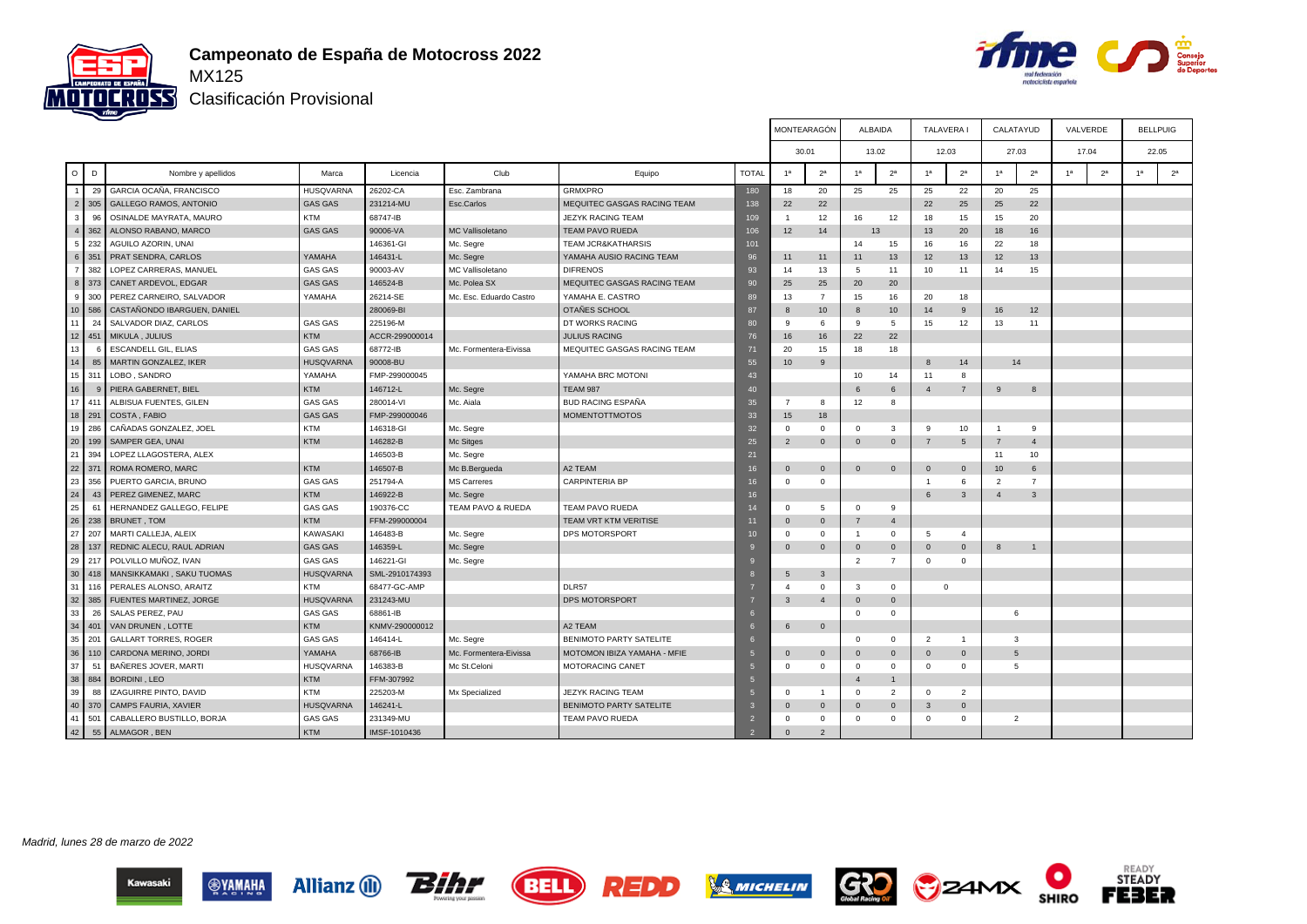



Clasificación Provisional

|                 |                 |                               |                  |                |                         |                                |                |                | MONTEARAGÓN    |                         | <b>ALBAIDA</b> | TALAVERA       |                |                | CALATAYUD      |                | VALVERDE       |                | <b>BELLPUIG</b> |
|-----------------|-----------------|-------------------------------|------------------|----------------|-------------------------|--------------------------------|----------------|----------------|----------------|-------------------------|----------------|----------------|----------------|----------------|----------------|----------------|----------------|----------------|-----------------|
|                 |                 |                               |                  |                |                         |                                |                |                | 30.01          |                         | 13.02          |                | 12.03          |                | 27.03          |                | 17.04          |                | 22.05           |
| $\circ$         | D               | Nombre y apellidos            | Marca            | Licencia       | Club                    | Equipo                         | <b>TOTAL</b>   | 1a             | 2 <sup>a</sup> | 1 <sup>a</sup>          | 2 <sup>a</sup> | 1 <sup>a</sup> | 2 <sup>a</sup> | 1 <sup>a</sup> | 2 <sup>a</sup> | 1 <sup>a</sup> | 2 <sup>a</sup> | 1 <sup>a</sup> | 2 <sup>a</sup>  |
|                 | 29              | GARCIA OCAÑA, FRANCISCO       | <b>HUSQVARNA</b> | 26202-CA       | Esc. Zambrana           | <b>GRMXPRO</b>                 | 180            | 18             | 20             | 25                      | 25             | 25             | 22             | 20             | 25             |                |                |                |                 |
| 2 <sup>1</sup>  | 305             | <b>GALLEGO RAMOS, ANTONIO</b> | <b>GAS GAS</b>   | 231214-MU      | Esc.Carlos              | MEQUITEC GASGAS RACING TEAM    | 138            | 22             | 22             |                         |                | 22             | 25             | 25             | 22             |                |                |                |                 |
| 3               | 96              | OSINALDE MAYRATA, MAURO       | <b>KTM</b>       | 68747-IB       |                         | JEZYK RACING TEAM              | 109            | -1             | 12             | 16                      | 12             | 18             | 15             | 15             | 20             |                |                |                |                 |
| $\overline{4}$  | 362             | ALONSO RABANO, MARCO          | <b>GAS GAS</b>   | 90006-VA       | MC Vallisoletano        | <b>TEAM PAVO RUEDA</b>         | 106            | 12             | 14             |                         | 13             | 13             | 20             | 18             | 16             |                |                |                |                 |
| 5 <sub>1</sub>  | 232             | AGUILO AZORIN, UNAI           |                  | 146361-GI      | Mc. Segre               | <b>TEAM JCR&amp;KATHARSIS</b>  | 101            |                |                | 14                      | 15             | 16             | 16             | 22             | 18             |                |                |                |                 |
|                 | 6 351           | PRAT SENDRA, CARLOS           | YAMAHA           | 146431-L       | Mc. Segre               | YAMAHA AUSIO RACING TEAM       | 96             | 11             | 11             | 11                      | 13             | 12             | 13             | 12             | 13             |                |                |                |                 |
| $\overline{7}$  | 382             | LOPEZ CARRERAS, MANUEL        | <b>GAS GAS</b>   | 90003-AV       | MC Vallisoletano        | <b>DIFRENOS</b>                | 93             | 14             | 13             | 5                       | 11             | 10             | 11             | 14             | 15             |                |                |                |                 |
|                 | 8 373           | CANET ARDEVOL, EDGAR          | <b>GAS GAS</b>   | 146524-B       | Mc. Polea SX            | MEQUITEC GASGAS RACING TEAM    | 90             | 25             | 25             | 20                      | 20             |                |                |                |                |                |                |                |                 |
| 9 <sup>1</sup>  | 300             | PEREZ CARNEIRO, SALVADOR      | YAMAHA           | 26214-SE       | Mc. Esc. Eduardo Castro | YAMAHA E. CASTRO               | 89             | 13             | $\overline{7}$ | 15                      | 16             | 20             | 18             |                |                |                |                |                |                 |
| 10 <sup>1</sup> | 586             | CASTAÑONDO IBARGUEN, DANIEL   |                  | 280069-BI      |                         | OTAÑES SCHOOL                  | 87             | 8              | 10             | -8                      | 10             | 14             | -9             | 16             | 12             |                |                |                |                 |
| 11 <sup>1</sup> | 24              | SALVADOR DIAZ, CARLOS         | <b>GAS GAS</b>   | 225196-M       |                         | DT WORKS RACING                | 80             | 9              | 6              | q                       | 5              | 15             | 12             | 13             | 11             |                |                |                |                 |
|                 | 12 451          | MIKULA, JULIUS                | <b>KTM</b>       | ACCR-299000014 |                         | <b>JULIUS RACING</b>           | 76             | 16             | 16             | 22                      | 22             |                |                |                |                |                |                |                |                 |
| 13              |                 | ESCANDELL GIL, ELIAS          | <b>GAS GAS</b>   | 68772-IB       | Mc. Formentera-Eivissa  | MEQUITEC GASGAS RACING TEAM    | 71             | 20             | 15             | 18                      | 18             |                |                |                |                |                |                |                |                 |
| 14              | 85              | <b>MARTIN GONZALEZ, IKER</b>  | <b>HUSQVARNA</b> | 90008-BU       |                         |                                | 55             | 10             | 9              |                         |                | $\mathbf{g}$   | 14             |                | 14             |                |                |                |                 |
| 15              | 311             | LOBO, SANDRO                  | YAMAHA           | FMP-299000045  |                         | YAMAHA BRC MOTONI              | 43             |                |                | 10                      | 14             | 11             | 8              |                |                |                |                |                |                 |
| 16              |                 | PIERA GABERNET, BIEL          | <b>KTM</b>       | 146712-L       | Mc. Segre               | <b>TEAM 987</b>                | 40             |                |                | 6                       | 6              | $\overline{4}$ | $\overline{7}$ | 9              | $\mathbf{8}$   |                |                |                |                 |
|                 | 17 411          | ALBISUA FUENTES, GILEN        | <b>GAS GAS</b>   | 280014-VI      | Mc. Aiala               | <b>BUD RACING ESPAÑA</b>       | 35             | $\overline{7}$ | 8              | 12                      | 8              |                |                |                |                |                |                |                |                 |
|                 | 18 291          | COSTA, FABIO                  | <b>GAS GAS</b>   | FMP-299000046  |                         | <b>MOMENTOTTMOTOS</b>          | 33             | 15             | 18             |                         |                |                |                |                |                |                |                |                |                 |
| 19              | 286             | CAÑADAS GONZALEZ, JOEL        | <b>KTM</b>       | 146318-GI      | Mc. Segre               |                                | 32             | 0              | $\mathbf{0}$   | $\overline{0}$          | 3              | -9             | 10             | $\overline{1}$ | 9              |                |                |                |                 |
| 20              | 199             | SAMPER GEA, UNAI              | <b>KTM</b>       | 146282-B       | Mc Sitges               |                                | 25             | $\overline{2}$ | $\mathbf{0}$   | $\overline{0}$          | $\mathbf 0$    | $\overline{7}$ | 5              | $\overline{7}$ | $\overline{4}$ |                |                |                |                 |
| 21              | 394             | LOPEZ LLAGOSTERA, ALEX        |                  | 146503-B       | Mc. Segre               |                                | 21             |                |                |                         |                |                |                | 11             | 10             |                |                |                |                 |
| 22              | 371             | ROMA ROMERO, MARC             | <b>KTM</b>       | 146507-B       | Mc B.Bergueda           | A2 TEAM                        | 16             | $\mathbf{0}$   | $\mathbf 0$    | $\overline{0}$          | $\mathbf 0$    | $\Omega$       | $\overline{0}$ | 10             | 6              |                |                |                |                 |
| 23              | 356             | PUERTO GARCIA, BRUNO          | <b>GAS GAS</b>   | 251794-A       | <b>MS Carreres</b>      | <b>CARPINTERIA BP</b>          | 16             | $\mathbf{0}$   | $\mathbf{0}$   |                         |                | $\overline{1}$ | 6              | $\overline{2}$ | $\overline{7}$ |                |                |                |                 |
| 24              | 43              | PEREZ GIMENEZ, MARC           | <b>KTM</b>       | 146922-B       | Mc. Segre               |                                | 16             |                |                |                         |                | 6              | $\overline{3}$ | $\overline{4}$ | 3              |                |                |                |                 |
| 25              | 61              | HERNANDEZ GALLEGO, FELIPE     | <b>GAS GAS</b>   | 190376-CC      | TEAM PAVO & RUEDA       | TEAM PAVO RUEDA                | 14             | $\Omega$       | 5              | $\Omega$                | 9              |                |                |                |                |                |                |                |                 |
| 26              | 238             | BRUNET, TOM                   | <b>KTM</b>       | FFM-299000004  |                         | TEAM VRT KTM VERITISE          | $\blacksquare$ | $\Omega$       | $\mathbf{0}$   | $\overline{7}$          | $\overline{4}$ |                |                |                |                |                |                |                |                 |
| 27              | 207             | MARTI CALLEJA, ALEIX          | <b>KAWASAKI</b>  | 146483-B       |                         | DPS MOTORSPORT                 | 10             | $\Omega$       | $\mathbf{0}$   |                         | $\Omega$       | 5              | $\overline{4}$ |                |                |                |                |                |                 |
| 28              |                 |                               |                  |                | Mc. Segre               |                                |                | $\Omega$       |                |                         |                | $\Omega$       |                |                | $\overline{1}$ |                |                |                |                 |
|                 | 137             | REDNIC ALECU, RAUL ADRIAN     | <b>GAS GAS</b>   | 146359-L       | Mc. Segre               |                                |                |                | $\mathbf 0$    | $\overline{0}$          | $\mathbf{0}$   |                | $\overline{0}$ | 8              |                |                |                |                |                 |
| 29              | 217             | POLVILLO MUÑOZ, IVAN          | <b>GAS GAS</b>   | 146221-GI      | Mc. Segre               |                                |                |                |                | $\overline{2}$          | $\overline{7}$ | $\Omega$       | $\Omega$       |                |                |                |                |                |                 |
| 30              | 418<br>111      | MANSIKKAMAKI, SAKU TUOMAS     | <b>HUSQVARNA</b> | SML-2910174393 |                         |                                |                | 5              | $\mathbf{3}$   |                         |                |                |                |                |                |                |                |                |                 |
| 31              |                 | PERALES ALONSO, ARAITZ        | <b>KTM</b>       | 68477-GC-AMP   |                         | DLR57                          |                | 4              | $^{\circ}$     | 3                       | $\mathbf{0}$   |                | $\mathbf{0}$   |                |                |                |                |                |                 |
| 32              | 385             | FUENTES MARTINEZ, JORGE       | <b>HUSQVARNA</b> | 231243-MU      |                         | DPS MOTORSPORT                 |                | 3              | $\overline{4}$ | $\overline{0}$          | $\mathbf{0}$   |                |                |                |                |                |                |                |                 |
| 33              | 26              | SALAS PEREZ, PAU              | <b>GAS GAS</b>   | 68861-IB       |                         |                                |                |                |                | $\overline{\mathbf{0}}$ | $\circ$        |                |                |                | 6              |                |                |                |                 |
| 34              | 401             | VAN DRUNEN, LOTTE             | <b>KTM</b>       | KNMV-290000012 |                         | A2 TEAM                        |                | 6              | $\overline{0}$ |                         |                |                |                |                |                |                |                |                |                 |
| 35              | 201             | <b>GALLART TORRES, ROGER</b>  | <b>GAS GAS</b>   | 146414-L       | Mc. Segre               | BENIMOTO PARTY SATELITE        |                |                |                | $\overline{0}$          | $\mathbf{0}$   | $\overline{2}$ | $\overline{1}$ |                | $\mathbf{3}$   |                |                |                |                 |
| 36              | 11 <sup>C</sup> | CARDONA MERINO, JORDI         | YAMAHA           | 68766-IB       | Mc. Formentera-Eivissa  | MOTOMON IBIZA YAMAHA - MFIE    | 5              | $\mathbf{0}$   | $\mathbf{0}$   | $\overline{0}$          | $\mathbf{0}$   | $\Omega$       | $\overline{0}$ |                | 5              |                |                |                |                 |
| 37              | 51              | BAÑERES JOVER, MARTI          | <b>HUSQVARNA</b> | 146383-B       | Mc St.Celoni            | MOTORACING CANET               |                | $\mathbf{0}$   | $\mathbf 0$    | $\overline{\mathbf{0}}$ | $\mathbf 0$    | $\Omega$       | $\mathbf 0$    |                | 5              |                |                |                |                 |
| 38              | 884             | <b>BORDINI, LEO</b>           | <b>KTM</b>       | FFM-307992     |                         |                                |                |                |                | $\overline{4}$          |                |                |                |                |                |                |                |                |                 |
| 39              | 8               | IZAGUIRRE PINTO, DAVID        | KTM              | 225203-M       | Mx Specialized          | <b>JEZYK RACING TEAM</b>       |                | n              | $\overline{1}$ | $\Omega$                | $\overline{2}$ | $\Omega$       | $\overline{2}$ |                |                |                |                |                |                 |
| 40              | 370             | CAMPS FAURIA, XAVIER          | <b>HUSQVARNA</b> | 146241-L       |                         | <b>BENIMOTO PARTY SATELITE</b> |                | $\Omega$       | $\mathbf{0}$   | $\overline{0}$          | $\mathbf{0}$   | 3              | $\mathbf{0}$   |                |                |                |                |                |                 |
| 41              | 501             | CABALLERO BUSTILLO, BORJA     | <b>GAS GAS</b>   | 231349-MU      |                         | TEAM PAVO RUEDA                |                | $\Omega$       | $^{\circ}$     | $^{\circ}$              | $^{\circ}$     | $\Omega$       | $\overline{0}$ |                | 2              |                |                |                |                 |
| 42              | 55              | ALMAGOR, BEN                  | <b>KTM</b>       | IMSF-1010436   |                         |                                |                | $\Omega$       | $\overline{2}$ |                         |                |                |                |                |                |                |                |                |                 |

Madrid, lunes 28 de marzo de 2022













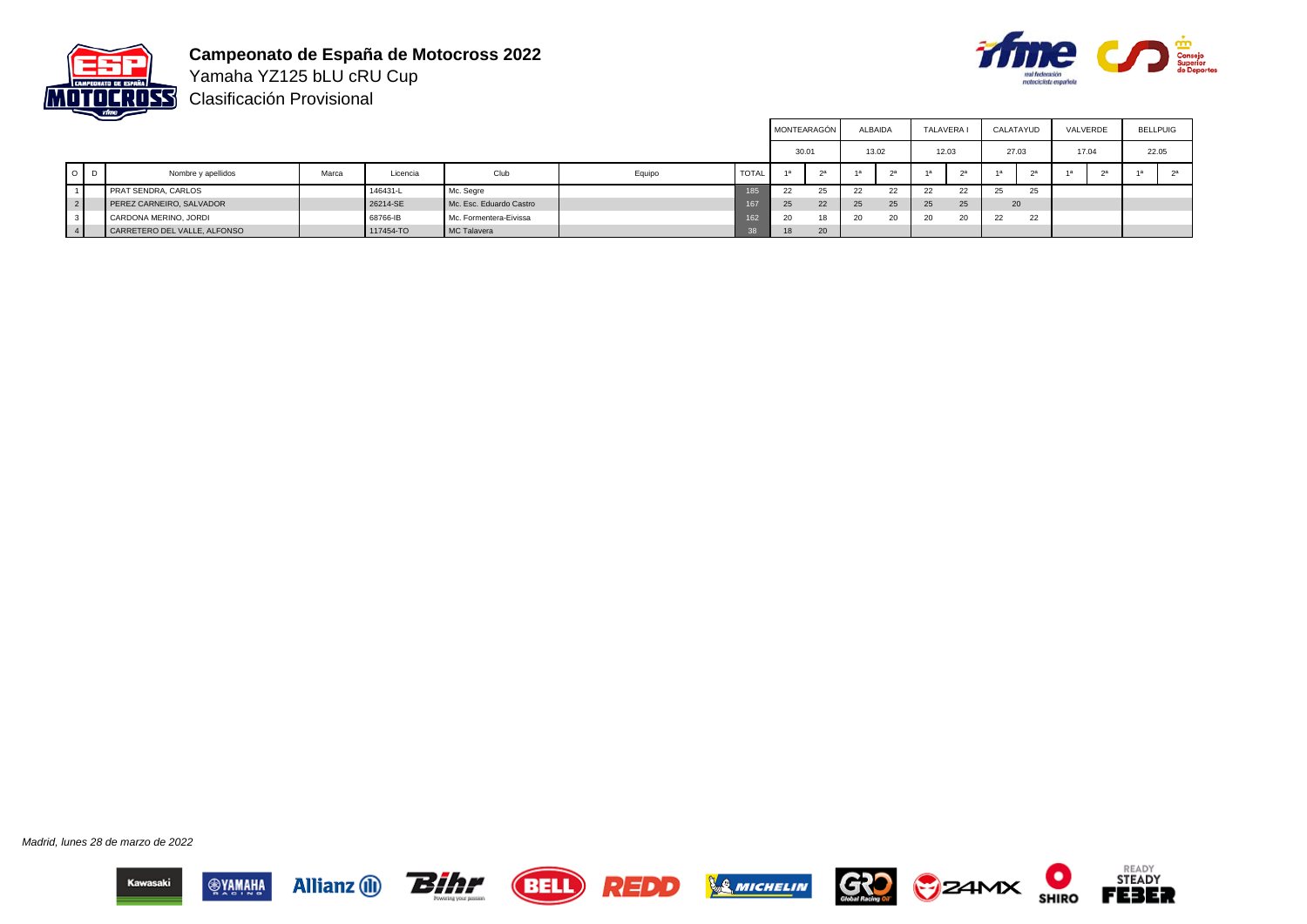

**Campeonato de España de Motocross 2022** Yamaha YZ125 bLU cRU Cup



Clasificación Provisional

|                |        |                              |       |           |                         |        |       | MONTEARAGÓN |                |    | <b>ALBAIDA</b> | <b>TALAVERA</b> |       |    | CALATAYUD | VALVERDE |    | <b>BELLPUIG</b> |
|----------------|--------|------------------------------|-------|-----------|-------------------------|--------|-------|-------------|----------------|----|----------------|-----------------|-------|----|-----------|----------|----|-----------------|
|                |        |                              |       |           |                         |        |       | 30.01       |                |    | 13.02          |                 | 12.03 |    | 27.03     | 17.04    |    | 22.05           |
|                | $O1$ D | Nombre y apellidos           | Marca | Licencia  | Club                    | Equipo | TOTAL |             | 2 <sup>a</sup> |    | 2a             | 1a              | 2a    |    | 2a        | 1a       | 1a | 2a              |
|                |        | <b>PRAT SENDRA, CARLOS</b>   |       | 146431-L  | Mc. Segre               |        | 185   | 22          | 25             | 22 | 22             | 22              | 22    | 25 | 25        |          |    |                 |
| 2 <sup>1</sup> |        | PEREZ CARNEIRO, SALVADOR     |       | 26214-SE  | Mc. Esc. Eduardo Castro |        | 167   | 25          | 22             | 25 | 25             | 25              | 25    |    | 20        |          |    |                 |
| $\vert$ 3      |        | CARDONA MERINO, JORDI        |       | 68766-IB  | Mc. Formentera-Eivissa  |        | 162   |             | 18             | 20 | 20             | 20              | 20    | 22 | 22        |          |    |                 |
| $\overline{4}$ |        | CARRETERO DEL VALLE, ALFONSO |       | 117454-TO | MC Talavera             |        |       |             | 20             |    |                |                 |       |    |           |          |    |                 |

Madrid, lunes 28 de marzo de 2022













О

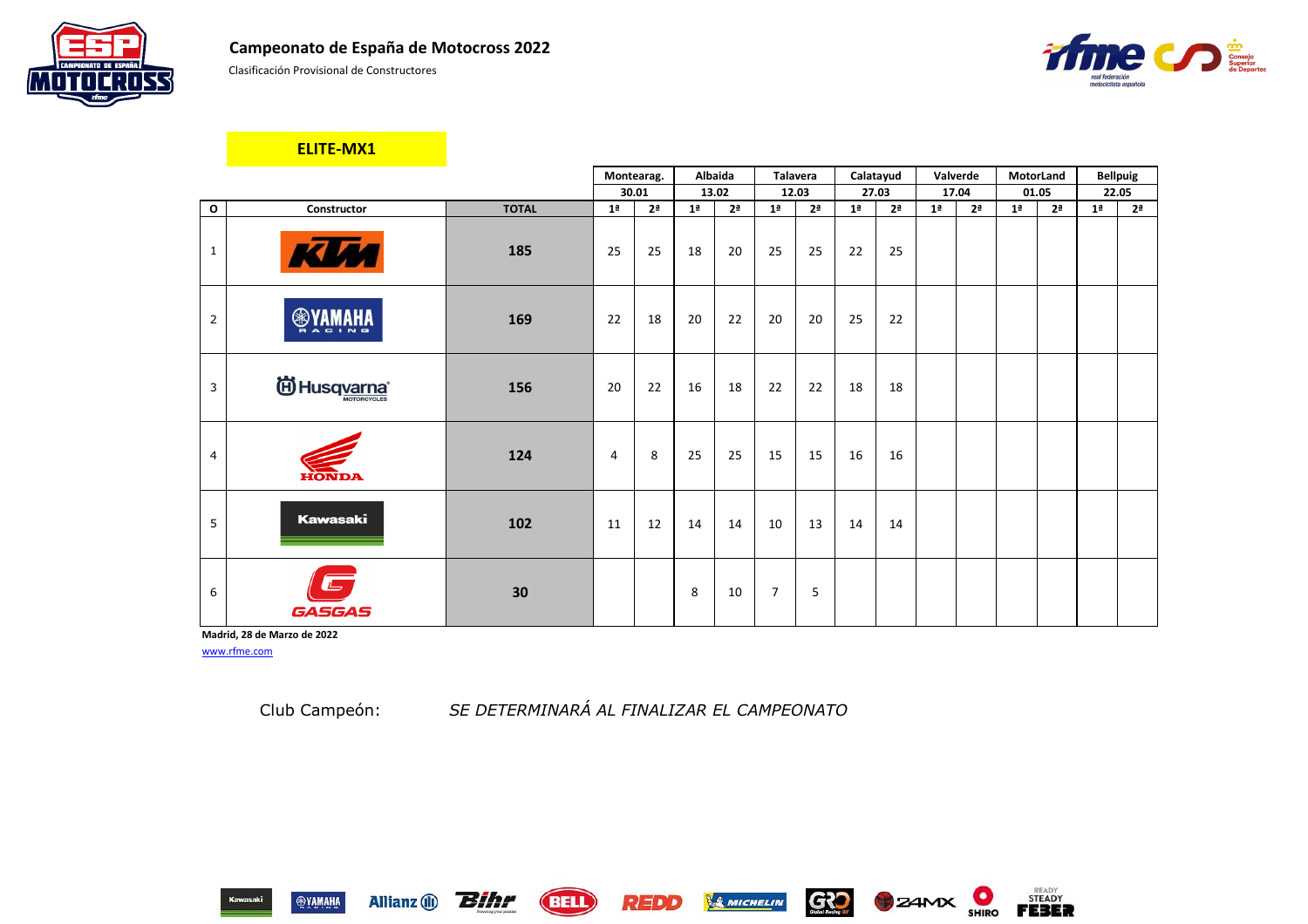Clasificación Provisional de Constructores

|                |                        |              | Montearag.     |                |                | <b>Albaida</b> | <b>Talavera</b> |                | Calatayud      |                | Valverde       |                | MotorLand      |                |                | <b>Bellpuig</b> |
|----------------|------------------------|--------------|----------------|----------------|----------------|----------------|-----------------|----------------|----------------|----------------|----------------|----------------|----------------|----------------|----------------|-----------------|
|                |                        |              |                | 30.01          |                | 13.02          |                 | 12.03          | 27.03          |                |                | 17.04          | 01.05          |                |                | 22.05           |
| $\mathbf{o}$   | Constructor            | <b>TOTAL</b> | 1 <sup>a</sup> | 2 <sup>a</sup> | 1 <sup>a</sup> | 2 <sup>a</sup> | 1 <sup>a</sup>  | 2 <sup>a</sup> | 1 <sup>a</sup> | 2 <sup>a</sup> | 1 <sup>a</sup> | 2 <sup>a</sup> | 1 <sup>a</sup> | 2 <sup>a</sup> | 1 <sup>a</sup> | 2 <sup>a</sup>  |
| $\mathbf{1}$   | KVM                    | 185          | 25             | 25             | 18             | 20             | 25              | 25             | 22             | 25             |                |                |                |                |                |                 |
| $\overline{2}$ | <b>SANAHA</b>          | 169          | 22             | 18             | 20             | 22             | 20              | 20             | 25             | 22             |                |                |                |                |                |                 |
| 3              | id Husq <u>varna</u> * | 156          | 20             | 22             | 16             | 18             | 22              | 22             | 18             | 18             |                |                |                |                |                |                 |
| $\overline{4}$ | <b>HONDA</b>           | 124          | 4              | 8              | 25             | 25             | 15              | 15             | 16             | 16             |                |                |                |                |                |                 |
| 5              | <b>Kawasaki</b>        | 102          | 11             | 12             | 14             | 14             | 10              | 13             | 14             | 14             |                |                |                |                |                |                 |
| 6              | <b>GASGAS</b>          | 30           |                |                | 8              | 10             | $\overline{7}$  | 5              |                |                |                |                |                |                |                |                 |

**Madrid, 28 de Marzo de 2022** [www.rfme.com](http://www.rfme.com/)

Allianz (i) **Bihr** 

Club Campeón: *SE DETERMINARÁ AL FINALIZAR EL CAMPEONATO*

REDD

**BELL** 











**ELITE-MX1**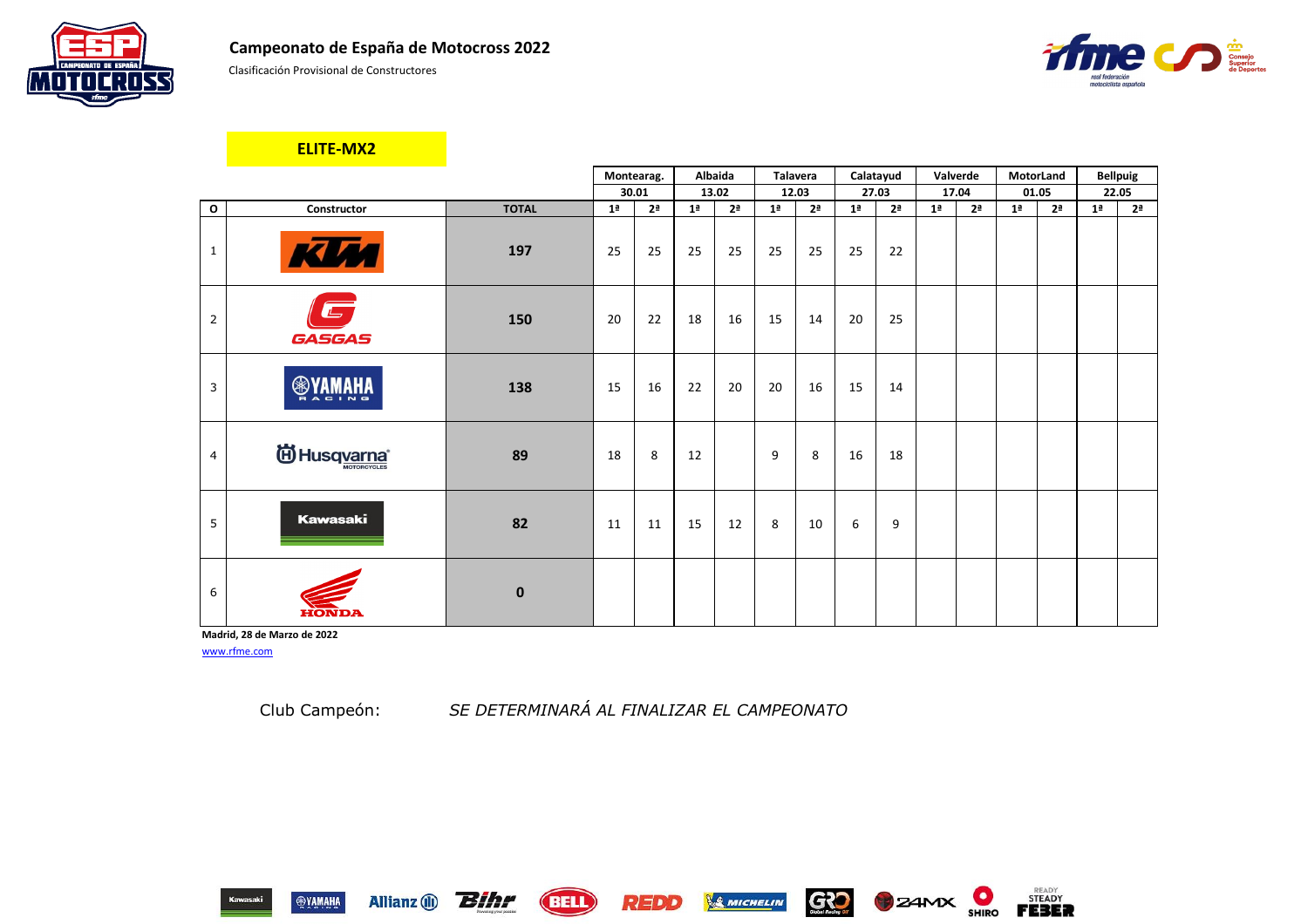

Clasificación Provisional de Constructores

|                |                             |              | Montearag.     |                |                | <b>Albaida</b> | <b>Talavera</b> |                |                | Calatayud      |                | Valverde       | MotorLand      |                |                | <b>Bellpuig</b> |
|----------------|-----------------------------|--------------|----------------|----------------|----------------|----------------|-----------------|----------------|----------------|----------------|----------------|----------------|----------------|----------------|----------------|-----------------|
|                |                             |              |                | 30.01          |                | 13.02          | 12.03           |                |                | 27.03          |                | 17.04          |                | 01.05          |                | 22.05           |
| $\mathbf{o}$   | <b>Constructor</b>          | <b>TOTAL</b> | 1 <sup>a</sup> | 2 <sup>a</sup> | 1 <sup>a</sup> | 2 <sup>a</sup> | 1 <sup>a</sup>  | 2 <sup>a</sup> | 1 <sup>a</sup> | 2 <sup>a</sup> | 1 <sup>a</sup> | 2 <sup>a</sup> | 1 <sup>a</sup> | 2 <sup>a</sup> | 1 <sup>a</sup> | 2 <sup>a</sup>  |
| $\mathbf{1}$   | KUM                         | 197          | 25             | 25             | 25             | 25             | 25              | 25             | 25             | 22             |                |                |                |                |                |                 |
| $\overline{2}$ | $\sqrt{2}$<br><b>GASGAS</b> | 150          | 20             | 22             | 18             | 16             | 15              | 14             | 20             | 25             |                |                |                |                |                |                 |
| 3              | <b>®YAMAHA</b><br>w Indiana | 138          | 15             | 16             | 22             | 20             | 20              | 16             | 15             | 14             |                |                |                |                |                |                 |
| $\overline{4}$ | id Husq <u>varna</u> ®      | 89           | 18             | 8              | 12             |                | 9               | 8              | 16             | 18             |                |                |                |                |                |                 |
| 5              | <b>Kawasaki</b>             | 82           | 11             | 11             | 15             | 12             | 8               | 10             | 6              | 9              |                |                |                |                |                |                 |
| 6              | HONDA                       | $\mathbf 0$  |                |                |                |                |                 |                |                |                |                |                |                |                |                |                 |

**Madrid, 28 de Marzo de 2022** [www.rfme.com](http://www.rfme.com/)

Allianz (i) **Bihr** 

#### **ELITE-MX2**

Club Campeón: *SE DETERMINARÁ AL FINALIZAR EL CAMPEONATO*

REDD

**BELL** 









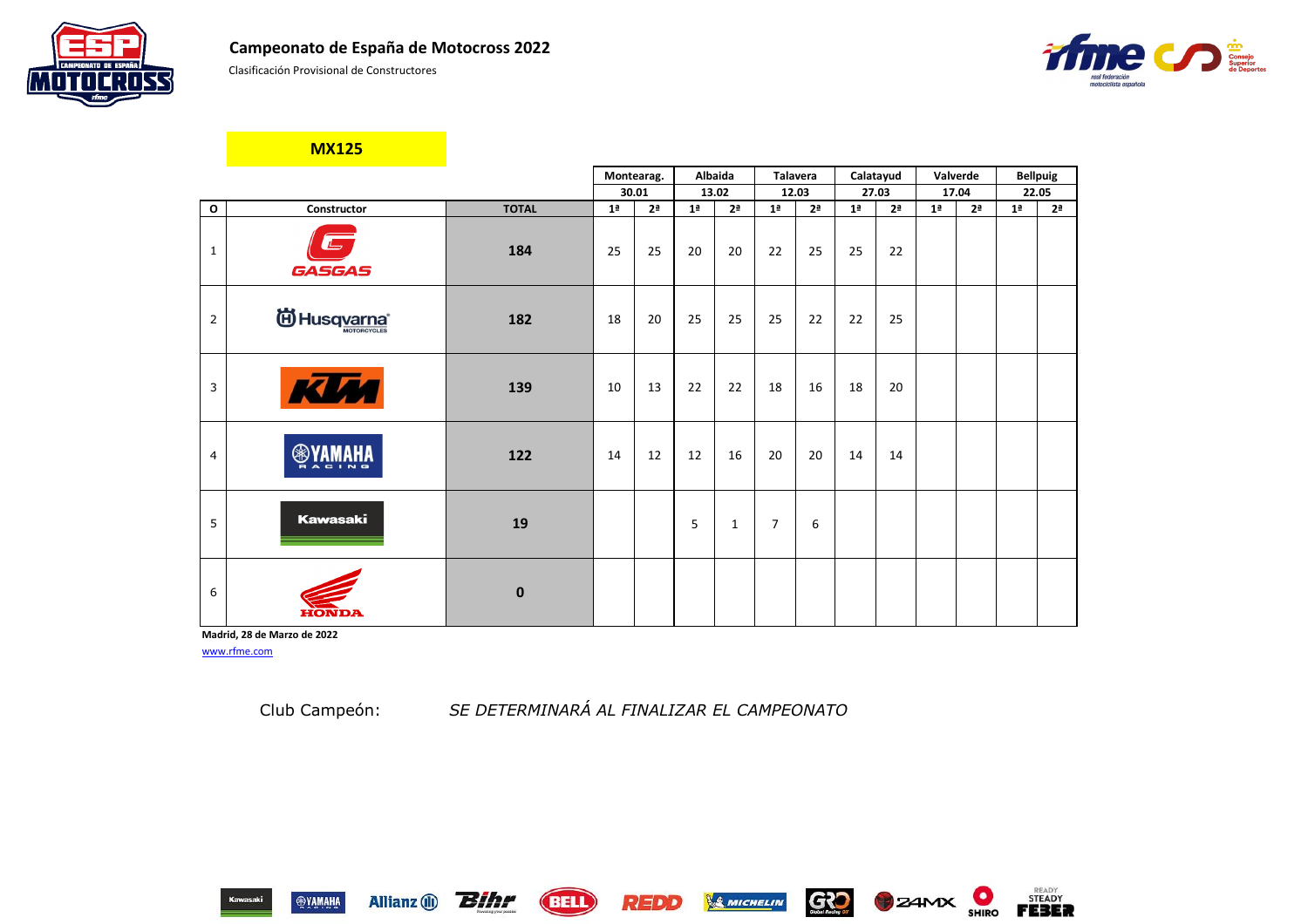Clasificación Provisional de Constructores

**Madrid, 28 de Marzo de 2022** [www.rfme.com](http://www.rfme.com/)

Allianz (i) **Bihr** 

|                |                              |              |                | Montearag.     |                | Albaida        |                | <b>Talavera</b> |                | Calatayud      |                | Valverde       |                | <b>Bellpuig</b> |
|----------------|------------------------------|--------------|----------------|----------------|----------------|----------------|----------------|-----------------|----------------|----------------|----------------|----------------|----------------|-----------------|
|                |                              |              |                | 30.01          |                | 13.02          |                | 12.03           |                | 27.03          |                | 17.04          |                | 22.05           |
| $\mathbf 0$    | Constructor                  | <b>TOTAL</b> | 1 <sup>a</sup> | 2 <sup>a</sup> | 1 <sup>a</sup> | 2 <sup>a</sup> | 1 <sup>a</sup> | 2 <sup>a</sup>  | 1 <sup>a</sup> | 2 <sup>a</sup> | 1 <sup>a</sup> | 2 <sup>a</sup> | 1 <sup>a</sup> | 2 <sup>a</sup>  |
| $\mathbf{1}$   | $\Box$<br>GASGAS             | 184          | 25             | 25             | 20             | 20             | 22             | 25              | 25             | 22             |                |                |                |                 |
| $\overline{2}$ | <b>iii) Husq<u>varna</u></b> | 182          | 18             | 20             | 25             | 25             | 25             | 22              | 22             | 25             |                |                |                |                 |
| 3              | KIM                          | 139          | 10             | 13             | 22             | 22             | 18             | 16              | 18             | 20             |                |                |                |                 |
| $\overline{4}$ | <b>ANAMAYS</b>               | 122          | 14             | 12             | 12             | 16             | 20             | 20              | 14             | 14             |                |                |                |                 |
| 5              | <b>Kawasaki</b>              | 19           |                |                | 5              | $\mathbf{1}$   | $\overline{7}$ | 6               |                |                |                |                |                |                 |
| 6              |                              | $\mathbf 0$  |                |                |                |                |                |                 |                |                |                |                |                |                 |

**MX125**

Club Campeón: *SE DETERMINARÁ AL FINALIZAR EL CAMPEONATO*

**(BELL)** 









| 22.05<br>1ª<br>$\frac{2^a}{a^b}$ |  |
|----------------------------------|--|
|                                  |  |
|                                  |  |
|                                  |  |
|                                  |  |
|                                  |  |
|                                  |  |
|                                  |  |
|                                  |  |
|                                  |  |
|                                  |  |
|                                  |  |
|                                  |  |
|                                  |  |
|                                  |  |
|                                  |  |
|                                  |  |
|                                  |  |
|                                  |  |
|                                  |  |
|                                  |  |
|                                  |  |
|                                  |  |
|                                  |  |
|                                  |  |
|                                  |  |
|                                  |  |

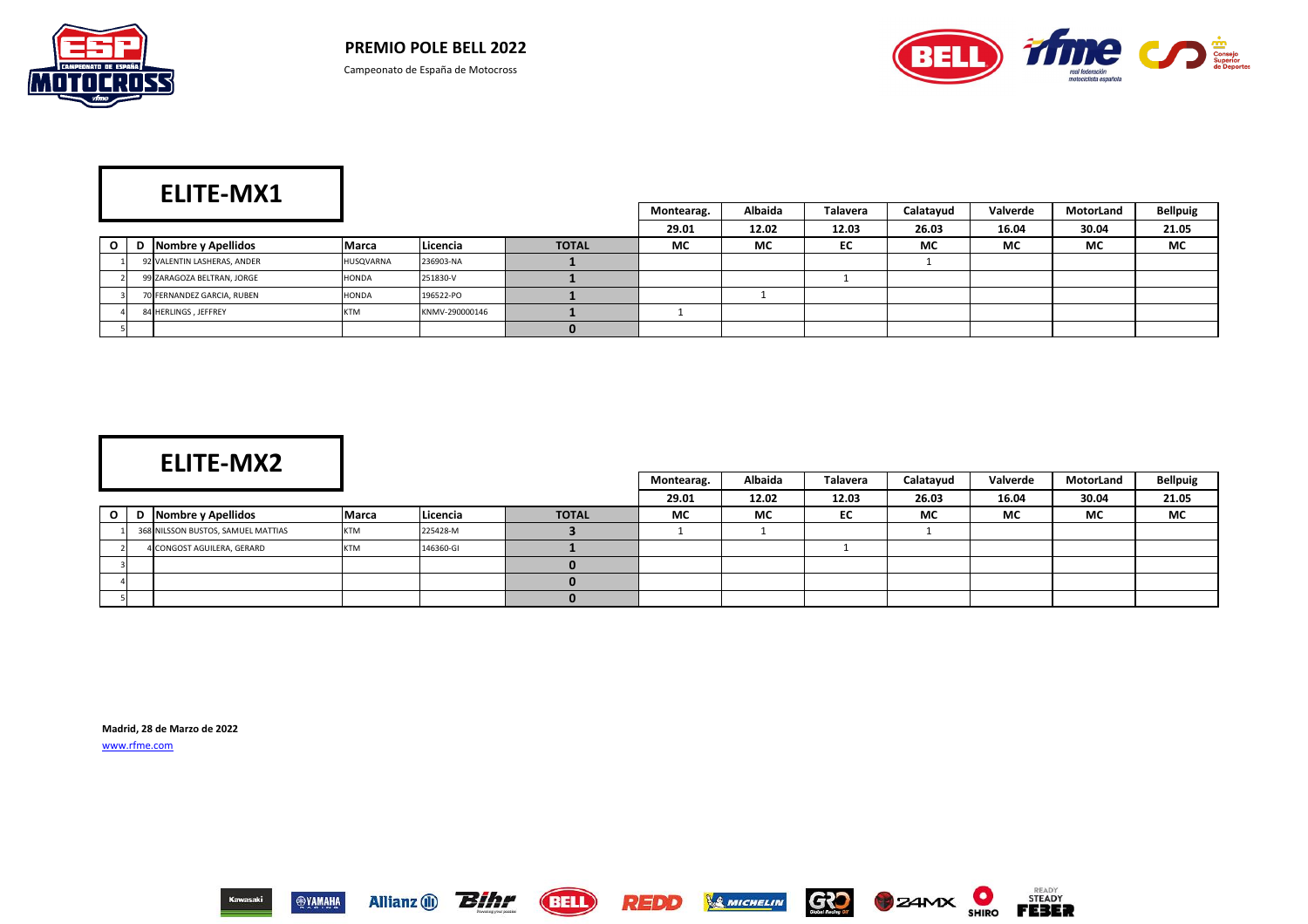



|           | ____                        |            |                 |              | Montearag. | <b>Albaida</b> | <b>Talavera</b> | Calatayud | Valverde | MotorLand | <b>Bellpuig</b> |
|-----------|-----------------------------|------------|-----------------|--------------|------------|----------------|-----------------|-----------|----------|-----------|-----------------|
|           |                             |            |                 |              | 29.01      | 12.02          | 12.03           | 26.03     | 16.04    | 30.04     | 21.05           |
| $\circ$ 1 | <b>D</b> Nombre y Apellidos | Marca      | <b>Licencia</b> | <b>TOTAL</b> | <b>MC</b>  | <b>MC</b>      | EC              | <b>MC</b> | МC       | <b>MC</b> | <b>MC</b>       |
|           | 92 VALENTIN LASHERAS, ANDER | HUSQVARNA  | 236903-NA       |              |            |                |                 |           |          |           |                 |
|           | 99 ZARAGOZA BELTRAN, JORGE  | HONDA      | 251830-V        |              |            |                |                 |           |          |           |                 |
|           | 70 FERNANDEZ GARCIA, RUBEN  | HONDA      | 196522-PO       |              |            |                |                 |           |          |           |                 |
|           | 84 HERLINGS, JEFFREY        | <b>KTM</b> | KNMV-290000146  |              |            |                |                 |           |          |           |                 |
|           |                             |            |                 |              |            |                |                 |           |          |           |                 |

|          | __ _                               |              |           |              | Montearag. | Albaida   | <b>Talavera</b> | Calatayud | Valverde  | MotorLand | <b>Bellpuig</b> |
|----------|------------------------------------|--------------|-----------|--------------|------------|-----------|-----------------|-----------|-----------|-----------|-----------------|
|          |                                    |              |           |              | 29.01      | 12.02     | 12.03           | 26.03     | 16.04     | 30.04     | 21.05           |
| $\Omega$ | Nombre y Apellidos                 | <b>Marca</b> | Licencia  | <b>TOTAL</b> | <b>MC</b>  | <b>MC</b> | EC              | <b>MC</b> | <b>MC</b> | <b>MC</b> | <b>MC</b>       |
|          | 368 NILSSON BUSTOS, SAMUEL MATTIAS | <b>KTM</b>   | 225428-M  |              |            |           |                 |           |           |           |                 |
|          | 4 CONGOST AGUILERA, GERARD         | <b>KTM</b>   | 146360-GI |              |            |           |                 |           |           |           |                 |
|          |                                    |              |           |              |            |           |                 |           |           |           |                 |
|          |                                    |              |           |              |            |           |                 |           |           |           |                 |
|          |                                    |              |           |              |            |           |                 |           |           |           |                 |

**Madrid, 28 de Marzo de 2022** [www.rfme.com](http://www.rfme.com/)

















# **ELITE-MX2**

## **ELITE-MX1**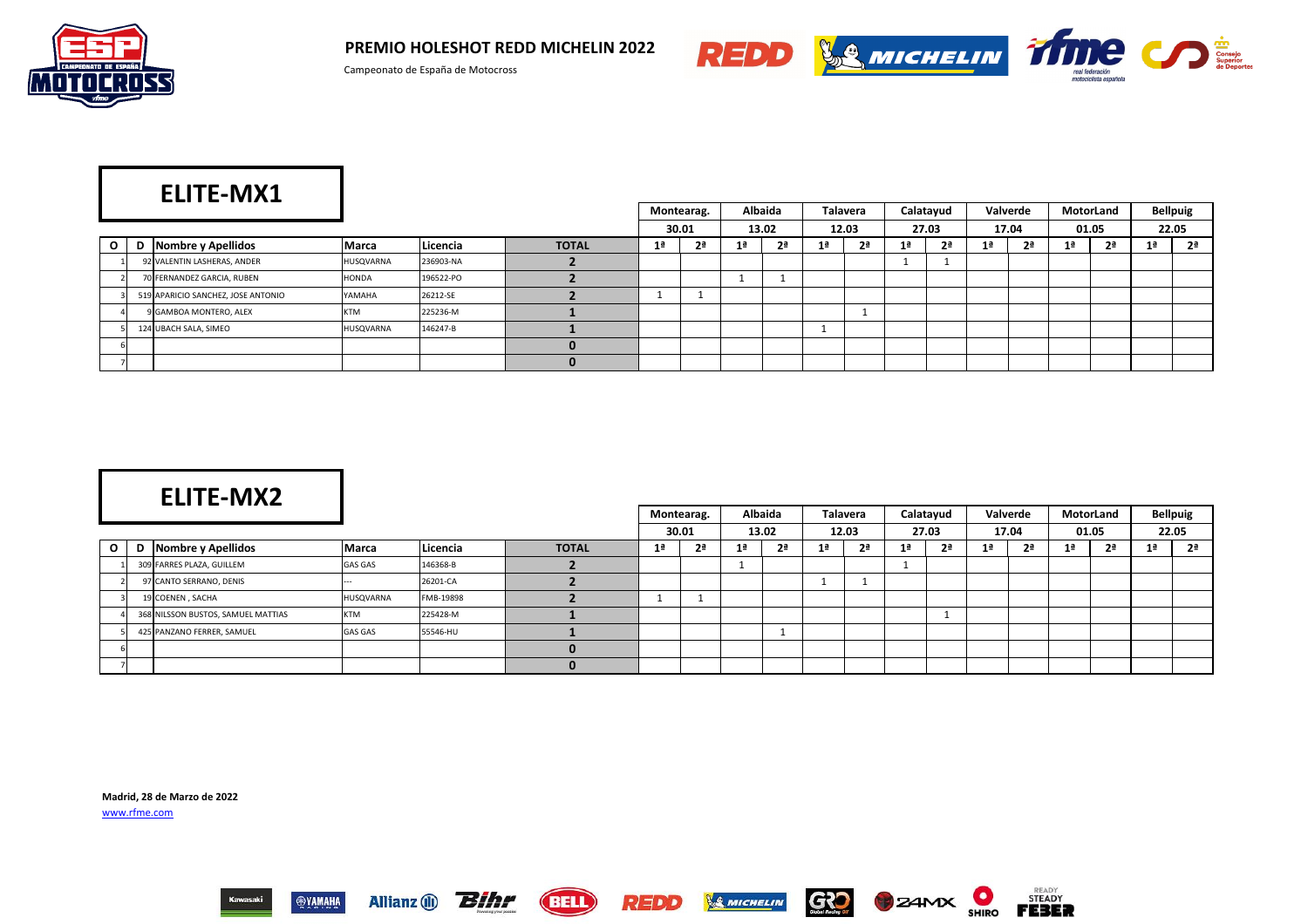

**PREMIO HOLESHOT REDD MICHELIN 2022**





|          | $   -$<br>------                   |              |           |              | Montearag.     | <b>Albaida</b> | <b>Talavera</b> |                | Calatayud |    | Valverde       |                | MotorLand      |    | <b>Bellpuig</b> |
|----------|------------------------------------|--------------|-----------|--------------|----------------|----------------|-----------------|----------------|-----------|----|----------------|----------------|----------------|----|-----------------|
|          |                                    |              |           |              | 30.01          | 13.02          | 12.03           |                | 27.03     |    | 17.04          |                | 01.05          |    | 22.05           |
| $\Omega$ | D Nombre y Apellidos               | <b>Marca</b> | Licencia  | <b>TOTAL</b> | 2 <sup>a</sup> | 2 <sup>a</sup> | 2 <sup>a</sup>  | 1 <sup>a</sup> | 2ª        | 1ª | 2 <sup>a</sup> | 1 <sup>a</sup> | 2 <sup>a</sup> | 1ª | 2 <sup>a</sup>  |
|          | 92 VALENTIN LASHERAS, ANDER        | HUSQVARNA    | 236903-NA |              |                |                |                 |                |           |    |                |                |                |    |                 |
|          | 70 FERNANDEZ GARCIA, RUBEN         | HONDA        | 196522-PO |              |                |                |                 |                |           |    |                |                |                |    |                 |
|          | 519 APARICIO SANCHEZ, JOSE ANTONIO | YAMAHA       | 26212-SE  |              |                |                |                 |                |           |    |                |                |                |    |                 |
|          | 9 GAMBOA MONTERO, ALEX             | <b>KTM</b>   | 225236-M  |              |                |                |                 |                |           |    |                |                |                |    |                 |
|          | 124 UBACH SALA, SIMEO              | HUSQVARNA    | 146247-B  |              |                |                |                 |                |           |    |                |                |                |    |                 |
|          |                                    |              |           |              |                |                |                 |                |           |    |                |                |                |    |                 |
|          |                                    |              |           |              |                |                |                 |                |           |    |                |                |                |    |                 |

|         | LLI L IVI/\6                       |                |           |              |                | Montearag.     |                | Albaida        |    | <b>Talavera</b> |                | Calatayud      | Valverde       |                | MotorLand      |                | <b>Bellpuig</b> |
|---------|------------------------------------|----------------|-----------|--------------|----------------|----------------|----------------|----------------|----|-----------------|----------------|----------------|----------------|----------------|----------------|----------------|-----------------|
|         |                                    |                |           |              |                | 30.01          |                | 13.02          |    | 12.03           |                | 27.03          | 17.04          |                | 01.05          |                | 22.05           |
| $\circ$ | Nombre y Apellidos                 | <b>Marca</b>   | Licencia  | <b>TOTAL</b> | 1 <sup>a</sup> | 2 <sup>a</sup> | 1 <sup>a</sup> | 2 <sup>a</sup> | 1ª | 2 <sup>a</sup>  | 1 <sup>a</sup> | 2 <sup>a</sup> | 2 <sup>a</sup> | 1 <sup>a</sup> | 2 <sup>a</sup> | 1 <sup>a</sup> | 2 <sup>a</sup>  |
|         | 309 FARRES PLAZA, GUILLEM          | <b>GAS GAS</b> | 146368-B  |              |                |                |                |                |    |                 |                |                |                |                |                |                |                 |
|         | 97 CANTO SERRANO, DENIS            |                | 26201-CA  |              |                |                |                |                |    |                 |                |                |                |                |                |                |                 |
|         | 19 COENEN, SACHA                   | HUSQVARNA      | FMB-19898 |              |                |                |                |                |    |                 |                |                |                |                |                |                |                 |
|         | 368 NILSSON BUSTOS, SAMUEL MATTIAS | <b>KTM</b>     | 225428-M  |              |                |                |                |                |    |                 |                |                |                |                |                |                |                 |
|         | 425 PANZANO FERRER, SAMUEL         | <b>GAS GAS</b> | 55546-HU  |              |                |                |                |                |    |                 |                |                |                |                |                |                |                 |
|         |                                    |                |           |              |                |                |                |                |    |                 |                |                |                |                |                |                |                 |
|         |                                    |                |           |              |                |                |                |                |    |                 |                |                |                |                |                |                |                 |

REDD

**Madrid, 28 de Marzo de 2022** [www.rfme.com](http://www.rfme.com/)

Allianz (i) **Bihr** 

**(BELL)** 



& MICHELIN





## **ELITE-MX2**

# **ELITE-MX1**